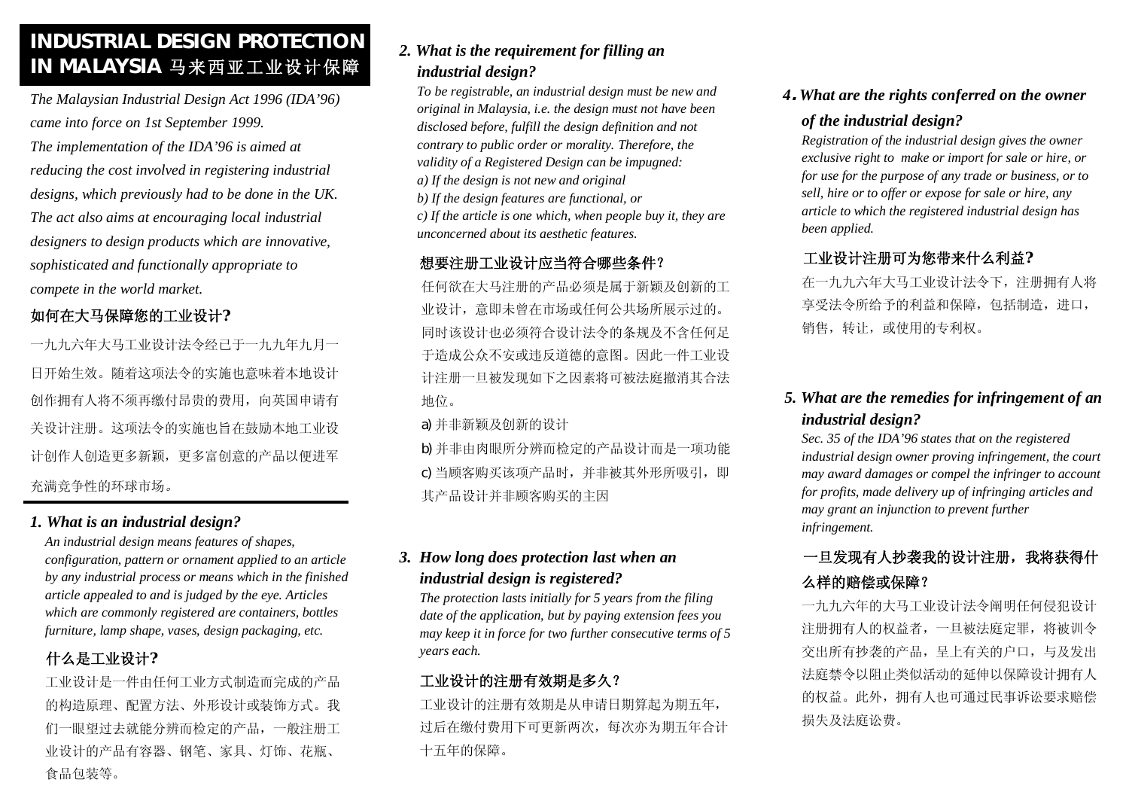# **INDUSTRIAL DESIGN PROTECTION IN MALAYSIA 马来西亚工业设计保障**

*The Malaysian Industrial Design Act 1996 (IDA'96) came into force on 1st September 1999. The implementation of the IDA'96 is aimed at reducing the cost involved in registering industrial designs, which previously had to be done in the UK. The act also aims at encouraging local industrial designers to design products which are innovative, sophisticated and functionally appropriate to compete in the world market.* 

## **如何在大马保障您的工业设计?**

一九九六年大马工业设计法令经已于一九九年九月一 日开始生效。随着这项法令的实施也意味着本地设计 创作拥有人将不须再缴付昂贵的费用,向英国申请有 关设计注册。这项法令的实施也旨在鼓励本地工业设 计创作人创造更多新颖,更多富创意的产品以便进军 充满竞争性的环球市场*。*

### *1. What is an industrial design?*

*An industrial design means features of shapes, configuration, pattern or ornament applied to an article by any industrial process or means which in the finished article appealed to and is judged by the eye. Articles which are commonly registered are containers, bottles furniture, lamp shape, vases, design packaging, etc.* 

## **什么是工业设计?**

工业设计是一件由任何工业方式制造而完成的产品 的构造原理、配置方法、外形设计或装饰方式。我 们一眼望过去就能分辨而检定的产品,一般注册工 业设计的产品有容器、钢笔、家具、灯饰、花瓶、 食品包装等。

## *2. What is the requirement for filling an industrial design?*

*To be registrable, an industrial design must be new and original in Malaysia, i.e. the design must not have been disclosed before, fulfill the design definition and not contrary to public order or morality. Therefore, the validity of a Registered Design can be impugned: a) If the design is not new and original b) If the design features are functional, or c) If the article is one which, when people buy it, they are unconcerned about its aesthetic features.*

### **想要注册工业设计应当符合哪些条件?**

任何欲在大马注册的产品必须是属于新颖及创新的工 业设计,意即未曾在市场或任何公共场所展示过的。 同时该设计也必须符合设计法令的条规及不含任何足 于造成公众不安或违反道德的意图。因此一件工业设 计注册一旦被发现如下之因素将可被法庭撤消其合法 地位。

a) 并非新颖及创新的设计

b) 并非由肉眼所分辨而检定的产品设计而是一项功能 c) 当顾客购买该项产品时,并非被其外形所吸引,即 其产品设计并非顾客购买的主因

### *3. How long does protection last when an industrial design is registered?*

*The protection lasts initially for 5 years from the filing date of the application, but by paying extension fees you may keep it in force for two further consecutive terms of 5 years each.*

## **工业设计的注册有效期是多久?**

工业设计的注册有效期是从申请日期算起为期五年, 过后在缴付费用下可更新两次,每次亦为期五年合计 十五年的保障。

## *4. What are the rights conferred on the owner*

#### *of the industrial design?*

*Registration of the industrial design gives the owner exclusive right to make or import for sale or hire, or for use for the purpose of any trade or business, or to sell, hire or to offer or expose for sale or hire, any article to which the registered industrial design has been applied.* 

## **工业设计注册可为您带来什么利益?**

在一九九六年大马工业设计法令下,注册拥有人将 享受法令所给予的利益和保障,包括制造,进口, 销售,转让,或使用的专利权。

## *5. What are the remedies for infringement of an industrial design?*

*Sec. 35 of the IDA'96 states that on the registered industrial design owner proving infringement, the court may award damages or compel the infringer to account for profits, made delivery up of infringing articles and may grant an injunction to prevent further infringement.* 

## **一旦发现有人抄袭我的设计注册,我将获得什 么样的赔偿或保障?**

一九九六年的大马工业设计法令阐明任何侵犯设计 注册拥有人的权益者,一旦被法庭定罪,将被训令 交出所有抄袭的产品,呈上有关的户口,与及发出 法庭禁令以阻止类似活动的延伸以保障设计拥有人 的权益。此外,拥有人也可通过民事诉讼要求赔偿 损失及法庭讼费。